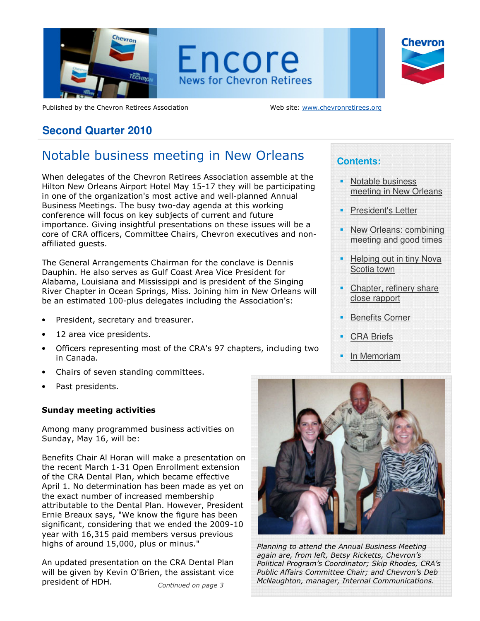

Encore **News for Chevron Retirees** 



Published by the Chevron Retirees Association Web site: www.chevronretirees.org

# **Second Quarter 2010**

# Notable business meeting in New Orleans

When delegates of the Chevron Retirees Association assemble at the Hilton New Orleans Airport Hotel May 15-17 they will be participating in one of the organization's most active and well-planned Annual Business Meetings. The busy two-day agenda at this working conference will focus on key subjects of current and future importance. Giving insightful presentations on these issues will be a core of CRA officers, Committee Chairs, Chevron executives and nonaffiliated guests.

The General Arrangements Chairman for the conclave is Dennis Dauphin. He also serves as Gulf Coast Area Vice President for Alabama, Louisiana and Mississippi and is president of the Singing River Chapter in Ocean Springs, Miss. Joining him in New Orleans will be an estimated 100-plus delegates including the Association's:

- President, secretary and treasurer.
- 12 area vice presidents.
- Officers representing most of the CRA's 97 chapters, including two in Canada.
- Chairs of seven standing committees.
- Past presidents.

#### Sunday meeting activities

Among many programmed business activities on Sunday, May 16, will be:

Benefits Chair Al Horan will make a presentation on the recent March 1-31 Open Enrollment extension of the CRA Dental Plan, which became effective April 1. No determination has been made as yet on the exact number of increased membership attributable to the Dental Plan. However, President Ernie Breaux says, "We know the figure has been significant, considering that we ended the 2009-10 year with 16,315 paid members versus previous highs of around 15,000, plus or minus."

An updated presentation on the CRA Dental Plan will be given by Kevin O'Brien, the assistant vice president of HDH. Continued on page 3

# **Contents:**

- **Notable business** meeting in New Orleans
- President's Letter
- New Orleans: combining meeting and good times
- Helping out in tiny Nova Scotia town
- Chapter, refinery share close rapport
- Benefits Corner
- CRA Briefs
- In Memoriam



Planning to attend the Annual Business Meeting again are, from left, Betsy Ricketts, Chevron's Political Program's Coordinator; Skip Rhodes, CRA's Public Affairs Committee Chair; and Chevron's Deb McNaughton, manager, Internal Communications.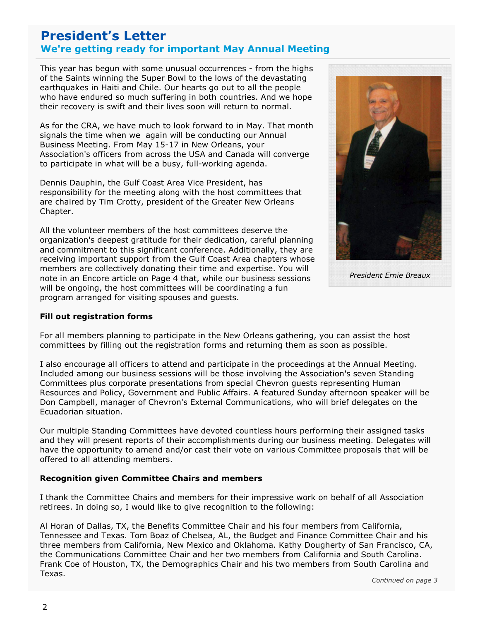# President's Letter We're getting ready for important May Annual Meeting

of the Saints winning the Super Bowl to the lows of the devastating<br>earthquakes in Haiti and Chile. Our hearts go out to all the people This year has begun with some unusual occurrences - from the highs of the Saints winning the Super Bowl to the lows of the devastating who have endured so much suffering in both countries. And we hope their recovery is swift and their lives soon will return to normal.

As for the CRA, we have much to look forward to in May. That month signals the time when we again will be conducting our Annual Business Meeting. From May 15-17 in New Orleans, your Association's officers from across the USA and Canada will converge to participate in what will be a busy, full-working agenda.

Dennis Dauphin, the Gulf Coast Area Vice President, has responsibility for the meeting along with the host committees that are chaired by Tim Crotty, president of the Greater New Orleans Chapter.

All the volunteer members of the host committees deserve the organization's deepest gratitude for their dedication, careful planning and commitment to this significant conference. Additionally, they are receiving important support from the Gulf Coast Area chapters whose members are collectively donating their time and expertise. You will note in an Encore article on Page 4 that, while our business sessions will be ongoing, the host committees will be coordinating a fun program arranged for visiting spouses and guests.



President Ernie Breaux

#### Fill out registration forms

For all members planning to participate in the New Orleans gathering, you can assist the host committees by filling out the registration forms and returning them as soon as possible.

I also encourage all officers to attend and participate in the proceedings at the Annual Meeting. Included among our business sessions will be those involving the Association's seven Standing Committees plus corporate presentations from special Chevron guests representing Human Resources and Policy, Government and Public Affairs. A featured Sunday afternoon speaker will be Don Campbell, manager of Chevron's External Communications, who will brief delegates on the Ecuadorian situation.

Our multiple Standing Committees have devoted countless hours performing their assigned tasks and they will present reports of their accomplishments during our business meeting. Delegates will have the opportunity to amend and/or cast their vote on various Committee proposals that will be offered to all attending members.

#### Recognition given Committee Chairs and members

I thank the Committee Chairs and members for their impressive work on behalf of all Association retirees. In doing so, I would like to give recognition to the following:

Al Horan of Dallas, TX, the Benefits Committee Chair and his four members from California, Tennessee and Texas. Tom Boaz of Chelsea, AL, the Budget and Finance Committee Chair and his three members from California, New Mexico and Oklahoma. Kathy Dougherty of San Francisco, CA, the Communications Committee Chair and her two members from California and South Carolina. Frank Coe of Houston, TX, the Demographics Chair and his two members from South Carolina and Texas.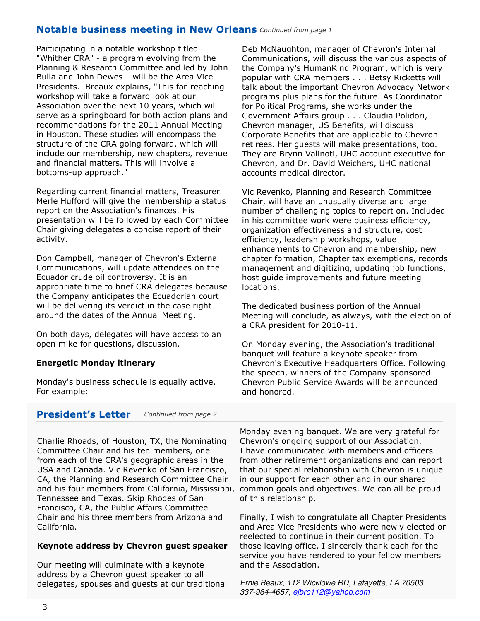### Notable business meeting in New Orleans Continued from page 1

 Presidents. Breaux explains, "This far-reaching Participating in a notable workshop titled "Whither CRA" - a program evolving from the Planning & Research Committee and led by John Bulla and John Dewes --will be the Area Vice workshop will take a forward look at our Association over the next 10 years, which will serve as a springboard for both action plans and recommendations for the 2011 Annual Meeting in Houston. These studies will encompass the structure of the CRA going forward, which will include our membership, new chapters, revenue and financial matters. This will involve a bottoms-up approach."

Regarding current financial matters, Treasurer Merle Hufford will give the membership a status report on the Association's finances. His presentation will be followed by each Committee Chair giving delegates a concise report of their activity.

Don Campbell, manager of Chevron's External Communications, will update attendees on the Ecuador crude oil controversy. It is an appropriate time to brief CRA delegates because the Company anticipates the Ecuadorian court will be delivering its verdict in the case right around the dates of the Annual Meeting.

On both days, delegates will have access to an open mike for questions, discussion.

#### Energetic Monday itinerary

Monday's business schedule is equally active. For example:

President's Letter Continued from page 2

Charlie Rhoads, of Houston, TX, the Nominating Committee Chair and his ten members, one from each of the CRA's geographic areas in the USA and Canada. Vic Revenko of San Francisco, CA, the Planning and Research Committee Chair Tennessee and Texas. Skip Rhodes of San Francisco, CA, the Public Affairs Committee Chair and his three members from Arizona and California.

#### Keynote address by Chevron guest speaker

Our meeting will culminate with a keynote address by a Chevron guest speaker to all delegates, spouses and guests at our traditional Deb McNaughton, manager of Chevron's Internal Communications, will discuss the various aspects of the Company's HumanKind Program, which is very popular with CRA members . . . Betsy Ricketts will talk about the important Chevron Advocacy Network programs plus plans for the future. As Coordinator for Political Programs, she works under the Government Affairs group . . . Claudia Polidori, Chevron manager, US Benefits, will discuss Corporate Benefits that are applicable to Chevron retirees. Her guests will make presentations, too. They are Brynn Valinoti, UHC account executive for Chevron, and Dr. David Weichers, UHC national accounts medical director.

Vic Revenko, Planning and Research Committee Chair, will have an unusually diverse and large number of challenging topics to report on. Included in his committee work were business efficiency, organization effectiveness and structure, cost efficiency, leadership workshops, value enhancements to Chevron and membership, new chapter formation, Chapter tax exemptions, records management and digitizing, updating job functions, host guide improvements and future meeting locations.

The dedicated business portion of the Annual Meeting will conclude, as always, with the election of a CRA president for 2010-11.

On Monday evening, the Association's traditional banquet will feature a keynote speaker from Chevron's Executive Headquarters Office. Following the speech, winners of the Company-sponsored Chevron Public Service Awards will be announced and honored.

and his four members from California, Mississippi, common goals and objectives. We can all be proud Monday evening banquet. We are very grateful for Chevron's ongoing support of our Association. I have communicated with members and officers from other retirement organizations and can report that our special relationship with Chevron is unique in our support for each other and in our shared of this relationship.

> Finally, I wish to congratulate all Chapter Presidents and Area Vice Presidents who were newly elected or reelected to continue in their current position. To those leaving office, I sincerely thank each for the service you have rendered to your fellow members and the Association.

Ernie Beaux, 112 Wicklowe RD, Lafayette, LA 70503 337-984-4657, ejbro112@yahoo.com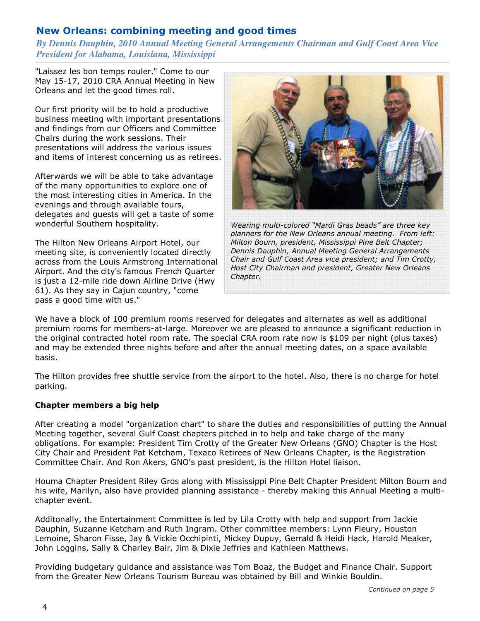# New Orleans: combining meeting and good times

### *By Dennis Dauphin, 2010 Annual Meeting General Arrangements Chairman and Gulf Coast Area Vice President for Alabama, Louisiana, Mississippi*

"Laissez les bon temps rouler." Come to our May 15-17, 2010 CRA Annual Meeting in New Orleans and let the good times roll.

Our first priority will be to hold a productive business meeting with important presentations and findings from our Officers and Committee Chairs during the work sessions. Their presentations will address the various issues and items of interest concerning us as retirees.

Afterwards we will be able to take advantage of the many opportunities to explore one of the most interesting cities in America. In the evenings and through available tours, delegates and guests will get a taste of some wonderful Southern hospitality.

The Hilton New Orleans Airport Hotel, our meeting site, is conveniently located directly across from the Louis Armstrong International Airport. And the city's famous French Quarter is just a 12-mile ride down Airline Drive (Hwy 61). As they say in Cajun country, "come pass a good time with us."



Wearing multi-colored "Mardi Gras beads" are three key planners for the New Orleans annual meeting. From left: Milton Bourn, president, Mississippi Pine Belt Chapter; Dennis Dauphin, Annual Meeting General Arrangements Chair and Gulf Coast Area vice president; and Tim Crotty, Host City Chairman and president, Greater New Orleans Chapter.

We have a block of 100 premium rooms reserved for delegates and alternates as well as additional premium rooms for members-at-large. Moreover we are pleased to announce a significant reduction in the original contracted hotel room rate. The special CRA room rate now is \$109 per night (plus taxes) and may be extended three nights before and after the annual meeting dates, on a space available basis.

The Hilton provides free shuttle service from the airport to the hotel. Also, there is no charge for hotel parking.

#### Chapter members a big help

After creating a model "organization chart" to share the duties and responsibilities of putting the Annual Meeting together, several Gulf Coast chapters pitched in to help and take charge of the many obligations. For example: President Tim Crotty of the Greater New Orleans (GNO) Chapter is the Host City Chair and President Pat Ketcham, Texaco Retirees of New Orleans Chapter, is the Registration Committee Chair. And Ron Akers, GNO's past president, is the Hilton Hotel liaison.

Houma Chapter President Riley Gros along with Mississippi Pine Belt Chapter President Milton Bourn and his wife, Marilyn, also have provided planning assistance - thereby making this Annual Meeting a multichapter event.

Additonally, the Entertainment Committee is led by Lila Crotty with help and support from Jackie Dauphin, Suzanne Ketcham and Ruth Ingram. Other committee members: Lynn Fleury, Houston Lemoine, Sharon Fisse, Jay & Vickie Occhipinti, Mickey Dupuy, Gerrald & Heidi Hack, Harold Meaker, John Loggins, Sally & Charley Bair, Jim & Dixie Jeffries and Kathleen Matthews.

Providing budgetary guidance and assistance was Tom Boaz, the Budget and Finance Chair. Support from the Greater New Orleans Tourism Bureau was obtained by Bill and Winkie Bouldin.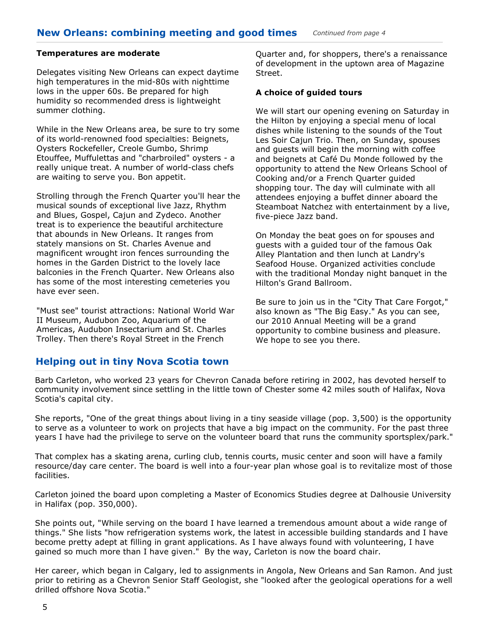#### Temperatures are moderate

Delegates visiting New Orleans can expect daytime high temperatures in the mid-80s with nighttime lows in the upper 60s. Be prepared for high humidity so recommended dress is lightweight summer clothing.

While in the New Orleans area, be sure to try some of its world-renowned food specialties: Beignets, Oysters Rockefeller, Creole Gumbo, Shrimp Etouffee, Muffulettas and "charbroiled" oysters - a really unique treat. A number of world-class chefs are waiting to serve you. Bon appetit.

Strolling through the French Quarter you'll hear the musical sounds of exceptional live Jazz, Rhythm and Blues, Gospel, Cajun and Zydeco. Another treat is to experience the beautiful architecture that abounds in New Orleans. It ranges from stately mansions on St. Charles Avenue and magnificent wrought iron fences surrounding the homes in the Garden District to the lovely lace balconies in the French Quarter. New Orleans also has some of the most interesting cemeteries you have ever seen.

"Must see" tourist attractions: National World War II Museum, Audubon Zoo, Aquarium of the Americas, Audubon Insectarium and St. Charles Trolley. Then there's Royal Street in the French

Quarter and, for shoppers, there's a renaissance of development in the uptown area of Magazine Street.

#### A choice of guided tours

We will start our opening evening on Saturday in the Hilton by enjoying a special menu of local dishes while listening to the sounds of the Tout Les Soir Cajun Trio. Then, on Sunday, spouses and guests will begin the morning with coffee and beignets at Café Du Monde followed by the opportunity to attend the New Orleans School of Cooking and/or a French Quarter guided shopping tour. The day will culminate with all attendees enjoying a buffet dinner aboard the Steamboat Natchez with entertainment by a live, five-piece Jazz band.

On Monday the beat goes on for spouses and guests with a guided tour of the famous Oak Alley Plantation and then lunch at Landry's Seafood House. Organized activities conclude with the traditional Monday night banquet in the Hilton's Grand Ballroom.

Be sure to join us in the "City That Care Forgot," also known as "The Big Easy." As you can see, our 2010 Annual Meeting will be a grand opportunity to combine business and pleasure. We hope to see you there.

### Helping out in tiny Nova Scotia town

Barb Carleton, who worked 23 years for Chevron Canada before retiring in 2002, has devoted herself to community involvement since settling in the little town of Chester some 42 miles south of Halifax, Nova Scotia's capital city.

She reports, "One of the great things about living in a tiny seaside village (pop. 3,500) is the opportunity to serve as a volunteer to work on projects that have a big impact on the community. For the past three years I have had the privilege to serve on the volunteer board that runs the community sportsplex/park."

That complex has a skating arena, curling club, tennis courts, music center and soon will have a family resource/day care center. The board is well into a four-year plan whose goal is to revitalize most of those facilities.

Carleton joined the board upon completing a Master of Economics Studies degree at Dalhousie University in Halifax (pop. 350,000).

She points out, "While serving on the board I have learned a tremendous amount about a wide range of things." She lists "how refrigeration systems work, the latest in accessible building standards and I have become pretty adept at filling in grant applications. As I have always found with volunteering, I have gained so much more than I have given." By the way, Carleton is now the board chair.

Her career, which began in Calgary, led to assignments in Angola, New Orleans and San Ramon. And just prior to retiring as a Chevron Senior Staff Geologist, she "looked after the geological operations for a well drilled offshore Nova Scotia."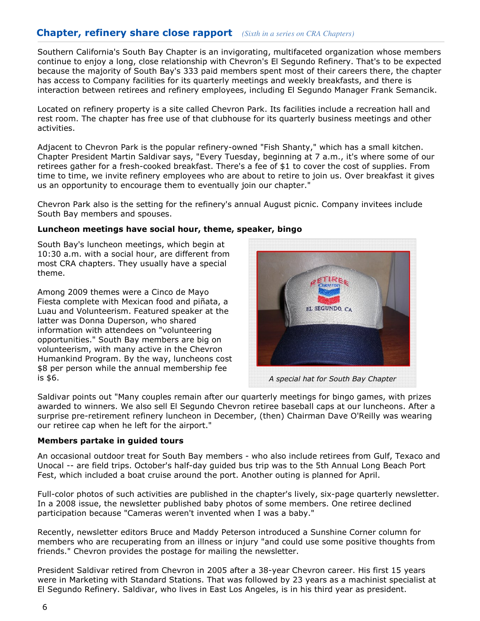## Chapter, refinery share close rapport *(Sixth in a series on CRA Chapters)*

 continue to enjoy a long, close relationship with Chevron's El Segundo Refinery. That's to be expected Southern California's South Bay Chapter is an invigorating, multifaceted organization whose members because the majority of South Bay's 333 paid members spent most of their careers there, the chapter has access to Company facilities for its quarterly meetings and weekly breakfasts, and there is interaction between retirees and refinery employees, including El Segundo Manager Frank Semancik.

Located on refinery property is a site called Chevron Park. Its facilities include a recreation hall and rest room. The chapter has free use of that clubhouse for its quarterly business meetings and other activities.

Adjacent to Chevron Park is the popular refinery-owned "Fish Shanty," which has a small kitchen. Chapter President Martin Saldivar says, "Every Tuesday, beginning at 7 a.m., it's where some of our retirees gather for a fresh-cooked breakfast. There's a fee of \$1 to cover the cost of supplies. From time to time, we invite refinery employees who are about to retire to join us. Over breakfast it gives us an opportunity to encourage them to eventually join our chapter."

Chevron Park also is the setting for the refinery's annual August picnic. Company invitees include South Bay members and spouses.

#### Luncheon meetings have social hour, theme, speaker, bingo

South Bay's luncheon meetings, which begin at 10:30 a.m. with a social hour, are different from most CRA chapters. They usually have a special theme.

Among 2009 themes were a Cinco de Mayo Fiesta complete with Mexican food and piñata, a Luau and Volunteerism. Featured speaker at the latter was Donna Duperson, who shared information with attendees on "volunteering opportunities." South Bay members are big on volunteerism, with many active in the Chevron Humankind Program. By the way, luncheons cost \$8 per person while the annual membership fee is \$6.



A special hat for South Bay Chapter

Saldivar points out "Many couples remain after our quarterly meetings for bingo games, with prizes awarded to winners. We also sell El Segundo Chevron retiree baseball caps at our luncheons. After a surprise pre-retirement refinery luncheon in December, (then) Chairman Dave O'Reilly was wearing our retiree cap when he left for the airport."

#### Members partake in guided tours

An occasional outdoor treat for South Bay members - who also include retirees from Gulf, Texaco and Unocal -- are field trips. October's half-day guided bus trip was to the 5th Annual Long Beach Port Fest, which included a boat cruise around the port. Another outing is planned for April.

Full-color photos of such activities are published in the chapter's lively, six-page quarterly newsletter. In a 2008 issue, the newsletter published baby photos of some members. One retiree declined participation because "Cameras weren't invented when I was a baby."

Recently, newsletter editors Bruce and Maddy Peterson introduced a Sunshine Corner column for members who are recuperating from an illness or injury "and could use some positive thoughts from friends." Chevron provides the postage for mailing the newsletter.

President Saldivar retired from Chevron in 2005 after a 38-year Chevron career. His first 15 years were in Marketing with Standard Stations. That was followed by 23 years as a machinist specialist at El Segundo Refinery. Saldivar, who lives in East Los Angeles, is in his third year as president.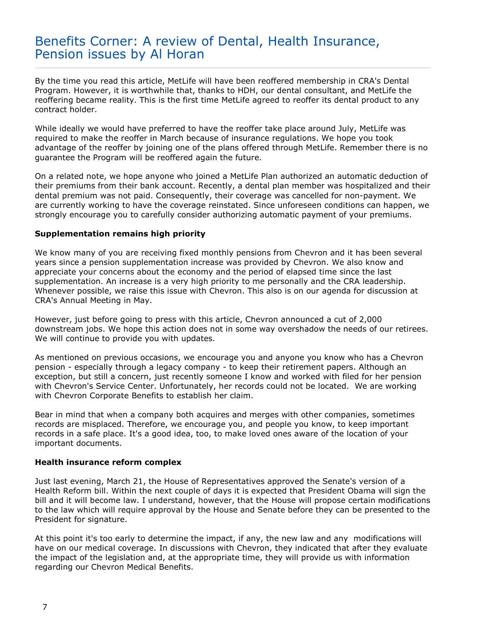# Benefits Corner: A review of Dental, Health Insurance, Pension issues by Al Horan

By the time you read this article, MetLife will have been reoffered membership in CRA's Dental Program. However, it is worthwhile that, thanks to HDH, our dental consultant, and MetLife the reoffering became reality. This is the first time MetLife agreed to reoffer its dental product to any contract holder.

While ideally we would have preferred to have the reoffer take place around July, MetLife was required to make the reoffer in March because of insurance regulations. We hope you took advantage of the reoffer by joining one of the plans offered through MetLife. Remember there is no guarantee the Program will be reoffered again the future.

On a related note, we hope anyone who joined a MetLife Plan authorized an automatic deduction of their premiums from their bank account. Recently, a dental plan member was hospitalized and their dental premium was not paid. Consequently, their coverage was cancelled for non-payment. We are currently working to have the coverage reinstated. Since unforeseen conditions can happen, we strongly encourage you to carefully consider authorizing automatic payment of your premiums.

#### Supplementation remains high priority

We know many of you are receiving fixed monthly pensions from Chevron and it has been several years since a pension supplementation increase was provided by Chevron. We also know and appreciate your concerns about the economy and the period of elapsed time since the last supplementation. An increase is a very high priority to me personally and the CRA leadership. Whenever possible, we raise this issue with Chevron. This also is on our agenda for discussion at CRA's Annual Meeting in May.

However, just before going to press with this article, Chevron announced a cut of 2,000 downstream jobs. We hope this action does not in some way overshadow the needs of our retirees. We will continue to provide you with updates.

As mentioned on previous occasions, we encourage you and anyone you know who has a Chevron pension - especially through a legacy company - to keep their retirement papers. Although an exception, but still a concern, just recently someone I know and worked with filed for her pension with Chevron's Service Center. Unfortunately, her records could not be located. We are working with Chevron Corporate Benefits to establish her claim.

Bear in mind that when a company both acquires and merges with other companies, sometimes records are misplaced. Therefore, we encourage you, and people you know, to keep important records in a safe place. It's a good idea, too, to make loved ones aware of the location of your important documents.

#### Health insurance reform complex

Just last evening, March 21, the House of Representatives approved the Senate's version of a Health Reform bill. Within the next couple of days it is expected that President Obama will sign the bill and it will become law. I understand, however, that the House will propose certain modifications to the law which will require approval by the House and Senate before they can be presented to the President for signature.

At this point it's too early to determine the impact, if any, the new law and any modifications will have on our medical coverage. In discussions with Chevron, they indicated that after they evaluate the impact of the legislation and, at the appropriate time, they will provide us with information regarding our Chevron Medical Benefits.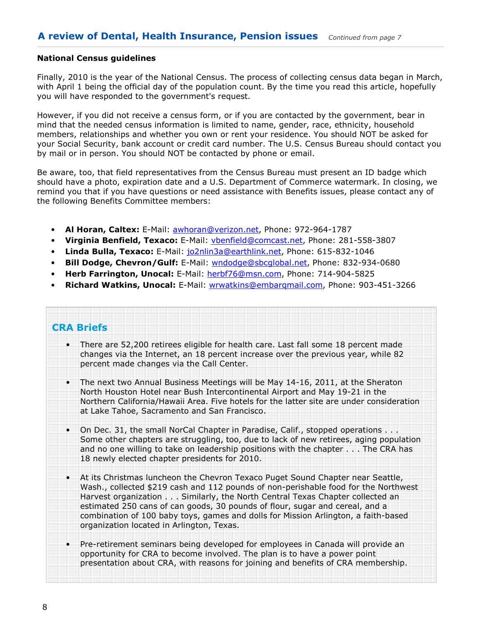#### National Census guidelines

Finally, 2010 is the year of the National Census. The process of collecting census data began in March, with April 1 being the official day of the population count. By the time you read this article, hopefully you will have responded to the government's request.

However, if you did not receive a census form, or if you are contacted by the government, bear in mind that the needed census information is limited to name, gender, race, ethnicity, household members, relationships and whether you own or rent your residence. You should NOT be asked for your Social Security, bank account or credit card number. The U.S. Census Bureau should contact you by mail or in person. You should NOT be contacted by phone or email.

Be aware, too, that field representatives from the Census Bureau must present an ID badge which should have a photo, expiration date and a U.S. Department of Commerce watermark. In closing, we remind you that if you have questions or need assistance with Benefits issues, please contact any of the following Benefits Committee members:

- Al Horan, Caltex: E-Mail: awhoran@verizon.net, Phone: 972-964-1787
- Virginia Benfield, Texaco: E-Mail: vbenfield@comcast.net, Phone: 281-558-3807
- Linda Bulla, Texaco: E-Mail: jo2nlin3a@earthlink.net, Phone: 615-832-1046
- Bill Dodge, Chevron/Gulf: E-Mail: wndodge@sbcglobal.net, Phone: 832-934-0680
- Herb Farrington, Unocal: E-Mail: herbf76@msn.com, Phone: 714-904-5825
- Richard Watkins, Unocal: E-Mail: wrwatkins@embarqmail.com, Phone: 903-451-3266

# CRA Briefs

- There are 52,200 retirees eligible for health care. Last fall some 18 percent made changes via the Internet, an 18 percent increase over the previous year, while 82 percent made changes via the Call Center.
- The next two Annual Business Meetings will be May 14-16, 2011, at the Sheraton North Houston Hotel near Bush Intercontinental Airport and May 19-21 in the Northern California/Hawaii Area. Five hotels for the latter site are under consideration at Lake Tahoe, Sacramento and San Francisco.
- On Dec. 31, the small NorCal Chapter in Paradise, Calif., stopped operations . . . Some other chapters are struggling, too, due to lack of new retirees, aging population and no one willing to take on leadership positions with the chapter . . . The CRA has 18 newly elected chapter presidents for 2010.
- At its Christmas luncheon the Chevron Texaco Puget Sound Chapter near Seattle, Wash., collected \$219 cash and 112 pounds of non-perishable food for the Northwest Harvest organization . . . Similarly, the North Central Texas Chapter collected an estimated 250 cans of can goods, 30 pounds of flour, sugar and cereal, and a combination of 100 baby toys, games and dolls for Mission Arlington, a faith-based organization located in Arlington, Texas.
- Pre-retirement seminars being developed for employees in Canada will provide an opportunity for CRA to become involved. The plan is to have a power point presentation about CRA, with reasons for joining and benefits of CRA membership.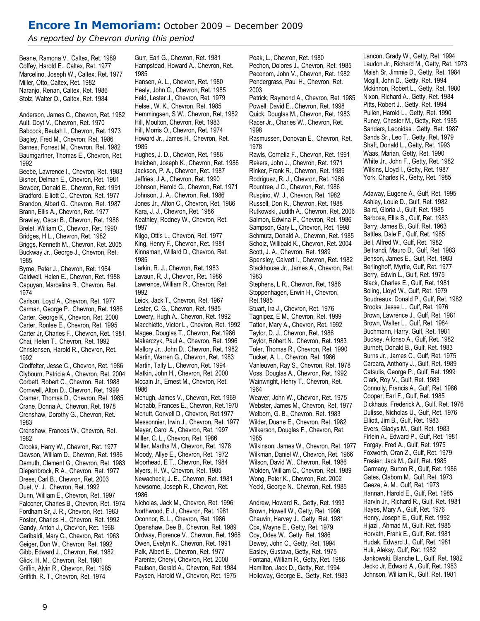# Encore In Memoriam: October 2009 – December 2009

As reported by Chevron during this period

Beane, Ramona V., Caltex, Ret. 1989 Coffey, Harold E., Caltex, Ret. 1977 Marcelino, Joseph W., Caltex, Ret. 1977 Miller, Otto, Caltex, Ret. 1982 Naranjo, Renan, Caltex, Ret. 1986 Stolz, Walter O., Caltex, Ret. 1984

Anderson, James C., Chevron, Ret. 1982 Ault, Doyt V., Chevron, Ret. 1970 Babcock, Beulah I., Chevron, Ret. 1973 Bagley, Fred M., Chevron, Ret. 1986 Barnes, Forrest M., Chevron, Ret. 1982 Baumgartner, Thomas E., Chevron, Ret. 1992 Beebe, Lawrence I., Chevron, Ret. 1983 Bisher, Delman E., Chevron, Ret. 1981 Bowder, Donald E., Chevron, Ret. 1991

Bradford, Elliott C., Chevron, Ret. 1977 Brandon, Albert G., Chevron, Ret. 1987 Brann, Ellis A., Chevron, Ret. 1977 Brawley, Oscar B., Chevron, Ret. 1986 Brelet, William C., Chevron, Ret. 1990 Bridges, H L., Chevron, Ret. 1982 Briggs, Kenneth M., Chevron, Ret. 2005 Buckway Jr., George J., Chevron, Ret.

1985 Byrne, Peter J., Chevron, Ret. 1964 Caldwell, Helen E., Chevron, Ret. 1988 Capuyan, Marcelina R., Chevron, Ret. 1974

Carlson, Loyd A., Chevron, Ret. 1977 Carman, George P., Chevron, Ret. 1986 Carter, George K., Chevron, Ret. 2000 Carter, Ronlee E., Chevron, Ret. 1995 Carter Jr, Charles F., Chevron, Ret. 1981 Chai, Helen T., Chevron, Ret. 1992 Christensen, Harold R., Chevron, Ret. 1992

Clodfelter, Jesse C., Chevron, Ret. 1986 Clybourn, Patricia A., Chevron, Ret. 2004 Corbett, Robert C., Chevron, Ret. 1988 Cornwell, Alton D., Chevron, Ret. 1999 Cramer, Thomas D., Chevron, Ret. 1985 Crane, Donna A., Chevron, Ret. 1978 Crenshaw, Dorothy G., Chevron, Ret. 1983

Crenshaw, Frances W., Chevron, Ret. 1982

Crooks, Harry W., Chevron, Ret. 1977 Dawson, William D., Chevron, Ret. 1986 Demuth, Clement G., Chevron, Ret. 1983 Diepenbrock, R A., Chevron, Ret. 1977 Drees, Carl B., Chevron, Ret. 2003 Duet, V. J., Chevron, Ret. 1992 Dunn, William E., Chevron, Ret. 1997 Falconer, Charles B., Chevron, Ret. 1974 Fordham Sr, J. R., Chevron, Ret. 1983 Foster, Charles H., Chevron, Ret. 1992 Gandy, Anton J., Chevron, Ret. 1968 Garibaldi, Mary C., Chevron, Ret. 1963 Geiger, Don W., Chevron, Ret. 1992 Gibb, Edward J., Chevron, Ret. 1982 Glick, H. M., Chevron, Ret. 1981 Griffin, Alvin R., Chevron, Ret. 1985 Griffith, R. T., Chevron, Ret. 1974

Gurr, Earl G., Chevron, Ret. 1981 Hampstead, Howard A., Chevron, Ret. 1985 Hansen, A. L., Chevron, Ret. 1980 Healy, John C., Chevron, Ret. 1985 Held, Lester J., Chevron, Ret. 1979 Helsel, W. K., Chevron, Ret. 1985 Hemmingsen, S W., Chevron, Ret. 1982 Hill, Moulton, Chevron, Ret. 1983 Hill, Morris O., Chevron, Ret. 1974 Howard Jr., James H., Chevron, Ret. 1985

Hughes, J. D., Chevron, Ret. 1986 Ineichen, Joseph K., Chevron, Ret. 1986 Jackson, P. A., Chevron, Ret. 1987 Jeffries, J A., Chevron, Ret. 1990 Johnson, Harold G., Chevron, Ret. 1971 Johnson, J. A., Chevron, Ret. 1986 Jones Jr., Alton C., Chevron, Ret. 1986 Kara, J. J., Chevron, Ret. 1986 Keathley, Rodney W., Chevron, Ret. 1997 Kilgo, Ottis L., Chevron, Ret. 1977

King, Henry F., Chevron, Ret. 1981 Kinnaman, Willard D., Chevron, Ret. 1985

Larkin, R. J., Chevron, Ret. 1983 Lavaun, R. J., Chevron, Ret. 1986 Lawrence, William R., Chevron, Ret. 1992

Leick, Jack T., Chevron, Ret. 1967 Lester, C. G., Chevron, Ret. 1985 Lowery, Hugh A., Chevron, Ret. 1992 Macchietto, Victor L., Chevron, Ret. 1992 Magee, Douglas T., Chevron, Ret.1986 Makarczyk, Paul A., Chevron, Ret. 1996 Mallory Jr., John D., Chevron, Ret. 1982 Martin, Warren G., Chevron, Ret. 1983 Martin, Tally L., Chevron, Ret. 1994 Matkin, John H., Chevron, Ret. 2000 Mccain Jr., Ernest M., Chevron, Ret. 1986

Mchugh, James V., Chevron, Ret. 1969 Mcnabb, Frances E., Chevron, Ret.1970 Mcnutt, Convell D., Chevron, Ret.1977 Messonnier, Irwin J., Chevron, Ret. 1977 Meyer, Carol A., Chevron, Ret. 1997 Miller, C. L., Chevron, Ret. 1986 Miller, Martha M., Chevron, Ret. 1978 Moody, Allye E., Chevron, Ret. 1972 Moorhead, E T., Chevron, Ret. 1984 Myers, H. W., Chevron, Ret. 1985 Newacheck, J. E., Chevron, Ret. 1981 Newsome, Joseph R., Chevron, Ret. 1986

Nicholas, Jack M., Chevron, Ret. 1996 Northwood, E J., Chevron, Ret. 1981 Oconnor, B. L., Chevron, Ret. 1986 Openshaw, Dee B., Chevron, Ret. 1989 Ordway, Florence V., Chevron, Ret. 1968 Owen, Evelyn K., Chevron, Ret. 1991 Palk, Albert E., Chevron, Ret. 1977 Parente, Cheryl, Chevron, Ret. 2008 Paulson, Gerald A., Chevron, Ret. 1984 Paysen, Harold W., Chevron, Ret. 1975

Peak, L., Chevron, Ret. 1980 Pechon, Dolores J., Chevron, Ret. 1985 Peconom, John V., Chevron, Ret. 1982 Pendergrass, Paul H., Chevron, Ret. 2003 Petrick, Raymond A., Chevron, Ret. 1985 Powell, David E., Chevron, Ret. 1998 Quick, Douglas M., Chevron, Ret. 1983 Racer Jr., Charles W., Chevron, Ret. 1998 Rasmussen, Donovan E., Chevron, Ret. 1978 Rawls, Cornelia F., Chevron, Ret. 1991 Rekers, John J., Chevron, Ret. 1971 Rinker, Frank R., Chevron, Ret. 1989 Rodriguez, R. J., Chevron, Ret. 1986 Rountree, J C., Chevron, Ret. 1986 Ruspino, W. J., Chevron, Ret. 1982 Russell, Don R., Chevron, Ret. 1988 Rutkowski, Judith A., Chevron, Ret. 2006 Salmon, Edwina P., Chevron, Ret. 1986 Sampson, Gary L., Chevron, Ret. 1998 Schmutz, Donald A., Chevron, Ret. 1985 Scholz, Willibald K., Chevron, Ret. 2004 Scott, J. A., Chevron, Ret. 1989 Spensley, Calvert I., Chevron, Ret. 1982 Stackhouse Jr., James A., Chevron, Ret. 1983 Stephens, L R., Chevron, Ret. 1986 Stoppenhagen, Erwin H., Chevron, Ret.1985 Stuart, Ira J., Chevron, Ret. 1976 Tagnipez, E M., Chevron, Ret. 1999 Tatton, Mary A., Chevron, Ret. 1992 Taylor, D. J., Chevron, Ret. 1986 Taylor, Robert N., Chevron, Ret. 1983 Toler, Thomas R., Chevron, Ret. 1990 Tucker, A. L., Chevron, Ret. 1986 Vanleuven, Ray S., Chevron, Ret. 1978 Voss, Douglas A., Chevron, Ret. 1992 Wainwright, Henry T., Chevron, Ret. 1964 Weaver, John W., Chevron, Ret. 1975 Webster, James M., Chevron, Ret. 1977 Welborn, G. B., Chevron, Ret. 1983 Wilder, Duane E., Chevron, Ret. 1982 Wilkerson, Douglas F., Chevron, Ret. 1985 Wilkinson, James W., Chevron, Ret. 1977 Wilkman, Daniel W., Chevron, Ret. 1966 Wilson, David W., Chevron, Ret. 1986 Wolden, William C., Chevron, Ret. 1989 Wong, Peter K., Chevron, Ret. 2002 Yeckl, George N., Chevron, Ret. 1985

Andrew, Howard R., Getty, Ret. 1993 Brown, Howell W., Getty, Ret. 1996 Chauvin, Harvey J., Getty, Ret. 1981 Cox, Wayne E., Getty, Ret. 1979 Coy, Odes W., Getty, Ret. 1986 Dewey, John C., Getty, Ret. 1994 Easley, Gustava, Getty, Ret. 1975 Fontana, William R., Getty, Ret. 1986 Hamilton, Jack D., Getty, Ret. 1994 Holloway, George E., Getty, Ret. 1983 Lancon, Grady W., Getty, Ret. 1994 Laudon Jr., Richard M., Getty, Ret. 1973 Maish Sr, Jimmie D., Getty, Ret. 1984 Mcgill, John D., Getty, Ret. 1994 Mckinnon, Robert L., Getty, Ret. 1980 Nixon, Richard A., Getty, Ret. 1984 Pitts, Robert J., Getty, Ret. 1994 Pullen, Harold L., Getty, Ret. 1990 Runey, Chester M., Getty, Ret. 1985 Sanders, Leonidas , Getty, Ret. 1987 Sands Sr., Leo T., Getty, Ret. 1979 Shaft, Donald L., Getty, Ret. 1993 Waas, Marian, Getty, Ret. 1990 White Jr., John F., Getty, Ret. 1982 Wilkins, Lloyd I., Getty, Ret. 1987 York, Charles R., Getty, Ret. 1985

Adaway, Eugene A., Gulf, Ret. 1995 Ashley, Louie D., Gulf, Ret. 1982 Baird, Gloria J., Gulf, Ret. 1985 Barbosa, Ellis S., Gulf, Ret. 1983 Barry, James B., Gulf, Ret. 1963 Battles, Dale F., Gulf, Ret. 1985 Bell, Alfred W., Gulf, Ret. 1982 Beltrandi, Mauro D., Gulf, Ret. 1983 Benson, James E., Gulf, Ret. 1983 Berlinghoff, Myrtle, Gulf, Ret. 1977 Berry, Edwin L., Gulf, Ret. 1975 Black, Charles E., Gulf, Ret. 1981 Boling, Lloyd W., Gulf, Ret. 1979 Boudreaux, Donald P., Gulf, Ret. 1982 Brooks, Jesse L., Gulf, Ret. 1976 Brown, Lawrence J., Gulf, Ret. 1981 Brown, Walter L., Gulf, Ret. 1984 Buchmann, Harry, Gulf, Ret. 1981 Buckey, Alfonso A., Gulf, Ret. 1982 Burnett, Donald B., Gulf, Ret. 1983 Burns Jr., James C., Gulf, Ret. 1975 Carcara, Anthony J., Gulf, Ret. 1989 Catsulis, George P., Gulf, Ret. 1999 Clark, Roy V., Gulf, Ret. 1983 Connolly, Francis A., Gulf, Ret. 1986 Cooper, Earl F., Gulf, Ret. 1985 Dickhaus, Frederick A., Gulf, Ret. 1976 Dulisse, Nicholas U., Gulf, Ret. 1976 Elliott, Jim B., Gulf, Ret. 1983 Evers, Gladys M., Gulf, Ret. 1983 Firlein A., Edward P., Gulf, Ret. 1981 Forgay, Fred A., Gulf, Ret. 1975 Foxworth, Oran Z., Gulf, Ret. 1979 Frasier, Jack M., Gulf, Ret. 1985 Garmany, Burton R., Gulf, Ret. 1986 Gates, Claborn M., Gulf, Ret. 1973 Geeze, A. M., Gulf, Ret. 1973 Hannah, Harold E., Gulf, Ret. 1985 Harvin Jr., Richard R., Gulf, Ret. 1981 Hayes, Mary A., Gulf, Ret. 1976 Henry, Joseph E., Gulf, Ret. 1992 Hijazi , Ahmad M., Gulf, Ret. 1985 Horvath, Frank E., Gulf, Ret. 1981 Hudak, Edward J., Gulf, Ret. 1981 Huk, Aleksy, Gulf, Ret. 1982 Jankowski, Blanche L., Gulf, Ret. 1982 Jecko Jr, Edward A., Gulf, Ret. 1983 Johnson, William R., Gulf, Ret. 1981